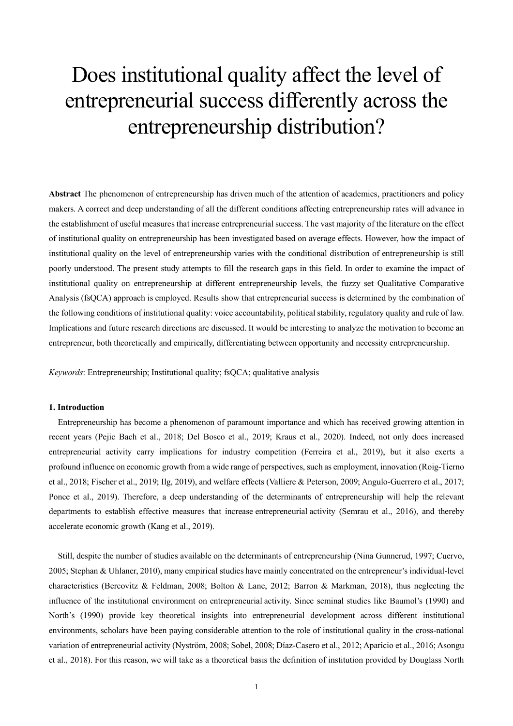# Does institutional quality affect the level of entrepreneurial success differently across the entrepreneurship distribution?

**Abstract** The phenomenon of entrepreneurship has driven much of the attention of academics, practitioners and policy makers. A correct and deep understanding of all the different conditions affecting entrepreneurship rates will advance in the establishment of useful measures that increase entrepreneurial success. The vast majority of the literature on the effect of institutional quality on entrepreneurship has been investigated based on average effects. However, how the impact of institutional quality on the level of entrepreneurship varies with the conditional distribution of entrepreneurship is still poorly understood. The present study attempts to fill the research gaps in this field. In order to examine the impact of institutional quality on entrepreneurship at different entrepreneurship levels, the fuzzy set Qualitative Comparative Analysis (fsQCA) approach is employed. Results show that entrepreneurial success is determined by the combination of the following conditions of institutional quality: voice accountability, political stability, regulatory quality and rule of law. Implications and future research directions are discussed. It would be interesting to analyze the motivation to become an entrepreneur, both theoretically and empirically, differentiating between opportunity and necessity entrepreneurship.

*Keywords*: Entrepreneurship; Institutional quality; fsQCA; qualitative analysis

## **1. Introduction**

Entrepreneurship has become a phenomenon of paramount importance and which has received growing attention in recent years (Pejic Bach et al., 2018; Del Bosco et al., 2019; Kraus et al., 2020). Indeed, not only does increased entrepreneurial activity carry implications for industry competition (Ferreira et al., 2019), but it also exerts a profound influence on economic growth from a wide range of perspectives, such as employment, innovation (Roig-Tierno et al., 2018; Fischer et al., 2019; Ilg, 2019), and welfare effects (Valliere & Peterson, 2009; Angulo-Guerrero et al., 2017; Ponce et al., 2019). Therefore, a deep understanding of the determinants of entrepreneurship will help the relevant departments to establish effective measures that increase entrepreneurial activity (Semrau et al., 2016), and thereby accelerate economic growth (Kang et al., 2019).

Still, despite the number of studies available on the determinants of entrepreneurship (Nina Gunnerud, 1997; Cuervo, 2005; Stephan & Uhlaner, 2010), many empirical studies have mainly concentrated on the entrepreneur's individual-level characteristics (Bercovitz & Feldman, 2008; Bolton & Lane, 2012; Barron & Markman, 2018), thus neglecting the influence of the institutional environment on entrepreneurial activity. Since seminal studies like Baumol's (1990) and North's (1990) provide key theoretical insights into entrepreneurial development across different institutional environments, scholars have been paying considerable attention to the role of institutional quality in the cross-national variation of entrepreneurial activity (Nyström, 2008; Sobel, 2008; Díaz-Casero et al., 2012; Aparicio et al., 2016; Asongu et al., 2018). For this reason, we will take as a theoretical basis the definition of institution provided by Douglass North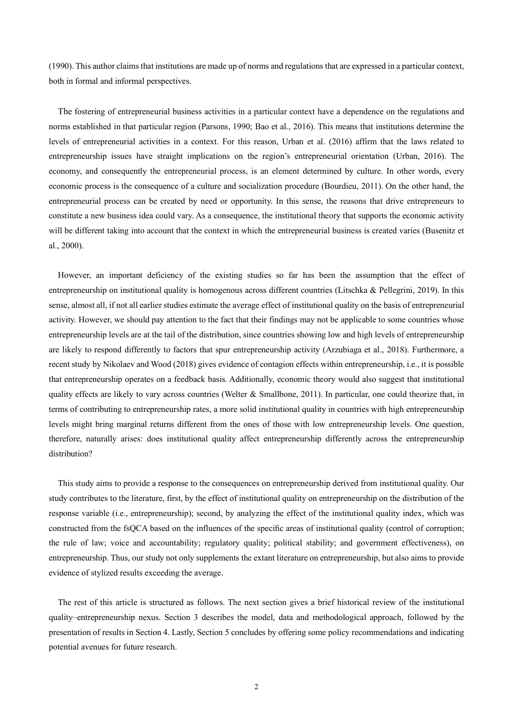(1990). This author claims that institutions are made up of norms and regulations that are expressed in a particular context, both in formal and informal perspectives.

The fostering of entrepreneurial business activities in a particular context have a dependence on the regulations and norms established in that particular region (Parsons, 1990; Bao et al., 2016). This means that institutions determine the levels of entrepreneurial activities in a context. For this reason, Urban et al. (2016) affirm that the laws related to entrepreneurship issues have straight implications on the region's entrepreneurial orientation (Urban, 2016). The economy, and consequently the entrepreneurial process, is an element determined by culture. In other words, every economic process is the consequence of a culture and socialization procedure (Bourdieu, 2011). On the other hand, the entrepreneurial process can be created by need or opportunity. In this sense, the reasons that drive entrepreneurs to constitute a new business idea could vary. As a consequence, the institutional theory that supports the economic activity will be different taking into account that the context in which the entrepreneurial business is created varies (Busenitz et al., 2000).

However, an important deficiency of the existing studies so far has been the assumption that the effect of entrepreneurship on institutional quality is homogenous across different countries (Litschka & Pellegrini, 2019). In this sense, almost all, if not all earlier studies estimate the average effect of institutional quality on the basis of entrepreneurial activity. However, we should pay attention to the fact that their findings may not be applicable to some countries whose entrepreneurship levels are at the tail of the distribution, since countries showing low and high levels of entrepreneurship are likely to respond differently to factors that spur entrepreneurship activity (Arzubiaga et al., 2018). Furthermore, a recent study by Nikolaev and Wood (2018) gives evidence of contagion effects within entrepreneurship, i.e., it is possible that entrepreneurship operates on a feedback basis. Additionally, economic theory would also suggest that institutional quality effects are likely to vary across countries (Welter & Smallbone, 2011). In particular, one could theorize that, in terms of contributing to entrepreneurship rates, a more solid institutional quality in countries with high entrepreneurship levels might bring marginal returns different from the ones of those with low entrepreneurship levels. One question, therefore, naturally arises: does institutional quality affect entrepreneurship differently across the entrepreneurship distribution?

This study aims to provide a response to the consequences on entrepreneurship derived from institutional quality. Our study contributes to the literature, first, by the effect of institutional quality on entrepreneurship on the distribution of the response variable (i.e., entrepreneurship); second, by analyzing the effect of the institutional quality index, which was constructed from the fsQCA based on the influences of the specific areas of institutional quality (control of corruption; the rule of law; voice and accountability; regulatory quality; political stability; and government effectiveness), on entrepreneurship. Thus, our study not only supplements the extant literature on entrepreneurship, but also aims to provide evidence of stylized results exceeding the average.

The rest of this article is structured as follows. The next section gives a brief historical review of the institutional quality–entrepreneurship nexus. Section 3 describes the model, data and methodological approach, followed by the presentation of results in Section 4. Lastly, Section 5 concludes by offering some policy recommendations and indicating potential avenues for future research.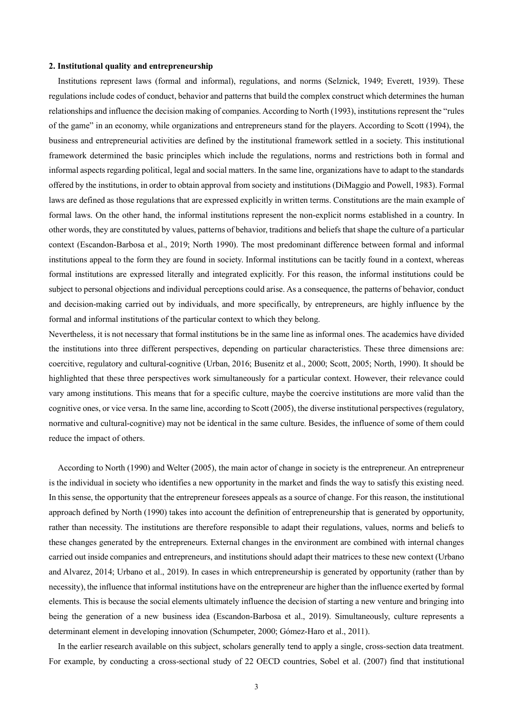#### **2. Institutional quality and entrepreneurship**

Institutions represent laws (formal and informal), regulations, and norms (Selznick, 1949; Everett, 1939). These regulations include codes of conduct, behavior and patterns that build the complex construct which determines the human relationships and influence the decision making of companies. According to North (1993), institutions represent the "rules of the game" in an economy, while organizations and entrepreneurs stand for the players. According to Scott (1994), the business and entrepreneurial activities are defined by the institutional framework settled in a society. This institutional framework determined the basic principles which include the regulations, norms and restrictions both in formal and informal aspects regarding political, legal and social matters. In the same line, organizations have to adapt to the standards offered by the institutions, in order to obtain approval from society and institutions (DiMaggio and Powell, 1983). Formal laws are defined as those regulations that are expressed explicitly in written terms. Constitutions are the main example of formal laws. On the other hand, the informal institutions represent the non-explicit norms established in a country. In other words, they are constituted by values, patterns of behavior, traditions and beliefs that shape the culture of a particular context (Escandon-Barbosa et al., 2019; North 1990). The most predominant difference between formal and informal institutions appeal to the form they are found in society. Informal institutions can be tacitly found in a context, whereas formal institutions are expressed literally and integrated explicitly. For this reason, the informal institutions could be subject to personal objections and individual perceptions could arise. As a consequence, the patterns of behavior, conduct and decision-making carried out by individuals, and more specifically, by entrepreneurs, are highly influence by the formal and informal institutions of the particular context to which they belong.

Nevertheless, it is not necessary that formal institutions be in the same line as informal ones. The academics have divided the institutions into three different perspectives, depending on particular characteristics. These three dimensions are: coercitive, regulatory and cultural-cognitive (Urban, 2016; Busenitz et al., 2000; Scott, 2005; North, 1990). It should be highlighted that these three perspectives work simultaneously for a particular context. However, their relevance could vary among institutions. This means that for a specific culture, maybe the coercive institutions are more valid than the cognitive ones, or vice versa. In the same line, according to Scott (2005), the diverse institutional perspectives (regulatory, normative and cultural-cognitive) may not be identical in the same culture. Besides, the influence of some of them could reduce the impact of others.

According to North (1990) and Welter (2005), the main actor of change in society is the entrepreneur. An entrepreneur is the individual in society who identifies a new opportunity in the market and finds the way to satisfy this existing need. In this sense, the opportunity that the entrepreneur foresees appeals as a source of change. For this reason, the institutional approach defined by North (1990) takes into account the definition of entrepreneurship that is generated by opportunity, rather than necessity. The institutions are therefore responsible to adapt their regulations, values, norms and beliefs to these changes generated by the entrepreneurs. External changes in the environment are combined with internal changes carried out inside companies and entrepreneurs, and institutions should adapt their matrices to these new context (Urbano and Alvarez, 2014; Urbano et al., 2019). In cases in which entrepreneurship is generated by opportunity (rather than by necessity), the influence that informal institutions have on the entrepreneur are higher than the influence exerted by formal elements. This is because the social elements ultimately influence the decision of starting a new venture and bringing into being the generation of a new business idea (Escandon-Barbosa et al., 2019). Simultaneously, culture represents a determinant element in developing innovation (Schumpeter, 2000; Gómez-Haro et al., 2011).

In the earlier research available on this subject, scholars generally tend to apply a single, cross-section data treatment. For example, by conducting a cross-sectional study of 22 OECD countries, Sobel et al. (2007) find that institutional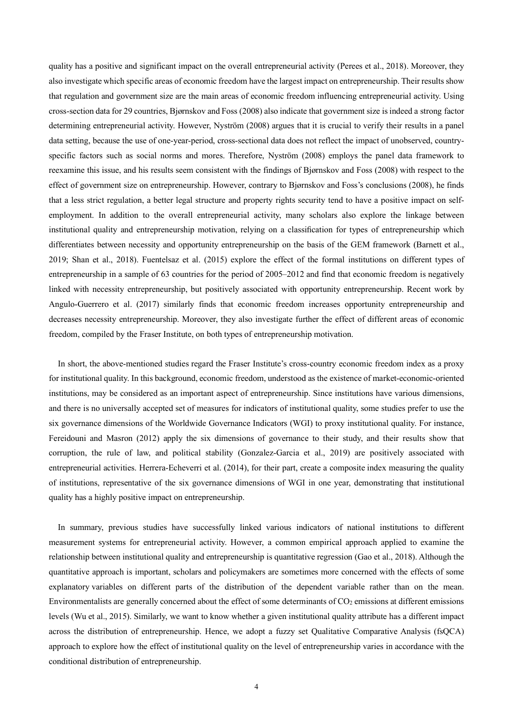quality has a positive and significant impact on the overall entrepreneurial activity (Perees et al., 2018). Moreover, they also investigate which specific areas of economic freedom have the largest impact on entrepreneurship. Their results show that regulation and government size are the main areas of economic freedom influencing entrepreneurial activity. Using cross-section data for 29 countries, Bjørnskov and Foss (2008) also indicate that government size isindeed a strong factor determining entrepreneurial activity. However, Nyström (2008) argues that it is crucial to verify their results in a panel data setting, because the use of one-year-period, cross-sectional data does not reflect the impact of unobserved, countryspecific factors such as social norms and mores. Therefore, Nyström (2008) employs the panel data framework to reexamine this issue, and his results seem consistent with the findings of Bjørnskov and Foss (2008) with respect to the effect of government size on entrepreneurship. However, contrary to Bjørnskov and Foss's conclusions (2008), he finds that a less strict regulation, a better legal structure and property rights security tend to have a positive impact on selfemployment. In addition to the overall entrepreneurial activity, many scholars also explore the linkage between institutional quality and entrepreneurship motivation, relying on a classification for types of entrepreneurship which differentiates between necessity and opportunity entrepreneurship on the basis of the GEM framework (Barnett et al., 2019; Shan et al., 2018). Fuentelsaz et al. (2015) explore the effect of the formal institutions on different types of entrepreneurship in a sample of 63 countries for the period of 2005–2012 and find that economic freedom is negatively linked with necessity entrepreneurship, but positively associated with opportunity entrepreneurship. Recent work by Angulo-Guerrero et al. (2017) similarly finds that economic freedom increases opportunity entrepreneurship and decreases necessity entrepreneurship. Moreover, they also investigate further the effect of different areas of economic freedom, compiled by the Fraser Institute, on both types of entrepreneurship motivation.

In short, the above-mentioned studies regard the Fraser Institute's cross-country economic freedom index as a proxy for institutional quality. In this background, economic freedom, understood as the existence of market-economic-oriented institutions, may be considered as an important aspect of entrepreneurship. Since institutions have various dimensions, and there is no universally accepted set of measures for indicators of institutional quality, some studies prefer to use the six governance dimensions of the Worldwide Governance Indicators (WGI) to proxy institutional quality. For instance, Fereidouni and Masron (2012) apply the six dimensions of governance to their study, and their results show that corruption, the rule of law, and political stability (Gonzalez-Garcia et al., 2019) are positively associated with entrepreneurial activities. Herrera-Echeverri et al. (2014), for their part, create a composite index measuring the quality of institutions, representative of the six governance dimensions of WGI in one year, demonstrating that institutional quality has a highly positive impact on entrepreneurship.

In summary, previous studies have successfully linked various indicators of national institutions to different measurement systems for entrepreneurial activity. However, a common empirical approach applied to examine the relationship between institutional quality and entrepreneurship is quantitative regression (Gao et al., 2018). Although the quantitative approach is important, scholars and policymakers are sometimes more concerned with the effects of some explanatory variables on different parts of the distribution of the dependent variable rather than on the mean. Environmentalists are generally concerned about the effect of some determinants of  $CO<sub>2</sub>$  emissions at different emissions levels (Wu et al., 2015). Similarly, we want to know whether a given institutional quality attribute has a different impact across the distribution of entrepreneurship. Hence, we adopt a fuzzy set Qualitative Comparative Analysis (fsQCA) approach to explore how the effect of institutional quality on the level of entrepreneurship varies in accordance with the conditional distribution of entrepreneurship.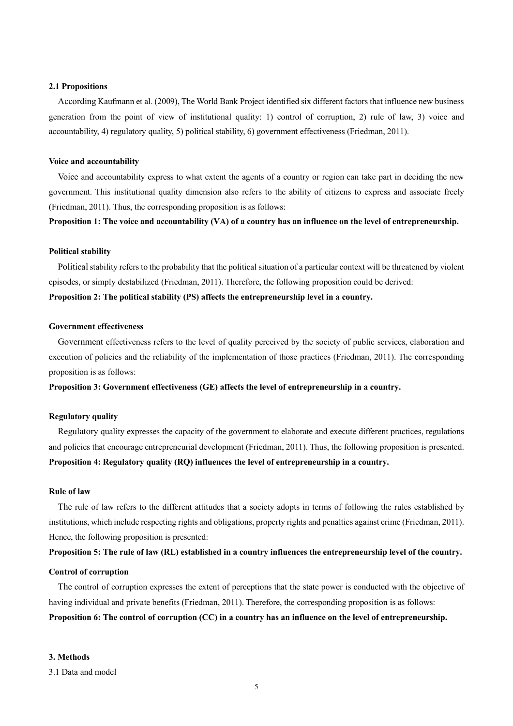#### **2.1 Propositions**

According Kaufmann et al. (2009), The World Bank Project identified six different factors that influence new business generation from the point of view of institutional quality: 1) control of corruption, 2) rule of law, 3) voice and accountability, 4) regulatory quality, 5) political stability, 6) government effectiveness (Friedman, 2011).

#### **Voice and accountability**

Voice and accountability express to what extent the agents of a country or region can take part in deciding the new government. This institutional quality dimension also refers to the ability of citizens to express and associate freely (Friedman, 2011). Thus, the corresponding proposition is as follows:

**Proposition 1: The voice and accountability (VA) of a country has an influence on the level of entrepreneurship.**

#### **Political stability**

Political stability refers to the probability that the political situation of a particular context will be threatened by violent episodes, or simply destabilized (Friedman, 2011). Therefore, the following proposition could be derived: **Proposition 2: The political stability (PS) affects the entrepreneurship level in a country.**

## **Government effectiveness**

Government effectiveness refers to the level of quality perceived by the society of public services, elaboration and execution of policies and the reliability of the implementation of those practices (Friedman, 2011). The corresponding proposition is as follows:

**Proposition 3: Government effectiveness (GE) affects the level of entrepreneurship in a country.**

## **Regulatory quality**

Regulatory quality expresses the capacity of the government to elaborate and execute different practices, regulations and policies that encourage entrepreneurial development (Friedman, 2011). Thus, the following proposition is presented. **Proposition 4: Regulatory quality (RQ) influences the level of entrepreneurship in a country.**

#### **Rule of law**

The rule of law refers to the different attitudes that a society adopts in terms of following the rules established by institutions, which include respecting rights and obligations, property rights and penalties against crime (Friedman, 2011). Hence, the following proposition is presented:

# **Proposition 5: The rule of law (RL) established in a country influences the entrepreneurship level of the country.**

#### **Control of corruption**

The control of corruption expresses the extent of perceptions that the state power is conducted with the objective of having individual and private benefits (Friedman, 2011). Therefore, the corresponding proposition is as follows: **Proposition 6: The control of corruption (CC) in a country has an influence on the level of entrepreneurship.**

#### **3. Methods**

3.1 Data and model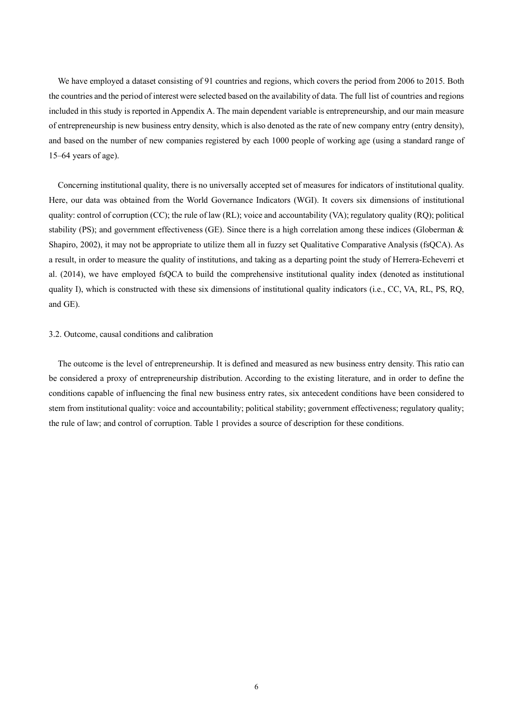We have employed a dataset consisting of 91 countries and regions, which covers the period from 2006 to 2015. Both the countries and the period of interest were selected based on the availability of data. The full list of countries and regions included in this study is reported in Appendix A. The main dependent variable is entrepreneurship, and our main measure of entrepreneurship is new business entry density, which is also denoted as the rate of new company entry (entry density), and based on the number of new companies registered by each 1000 people of working age (using a standard range of 15–64 years of age).

Concerning institutional quality, there is no universally accepted set of measures for indicators of institutional quality. Here, our data was obtained from the World Governance Indicators (WGI). It covers six dimensions of institutional quality: control of corruption (CC); the rule of law (RL); voice and accountability (VA); regulatory quality (RQ); political stability (PS); and government effectiveness (GE). Since there is a high correlation among these indices (Globerman & Shapiro, 2002), it may not be appropriate to utilize them all in fuzzy set Qualitative Comparative Analysis (fsQCA). As a result, in order to measure the quality of institutions, and taking as a departing point the study of Herrera-Echeverri et al. (2014), we have employed fsQCA to build the comprehensive institutional quality index (denoted as institutional quality I), which is constructed with these six dimensions of institutional quality indicators (i.e., CC, VA, RL, PS, RQ, and GE).

## 3.2. Outcome, causal conditions and calibration

The outcome is the level of entrepreneurship. It is defined and measured as new business entry density. This ratio can be considered a proxy of entrepreneurship distribution. According to the existing literature, and in order to define the conditions capable of influencing the final new business entry rates, six antecedent conditions have been considered to stem from institutional quality: voice and accountability; political stability; government effectiveness; regulatory quality; the rule of law; and control of corruption. Table 1 provides a source of description for these conditions.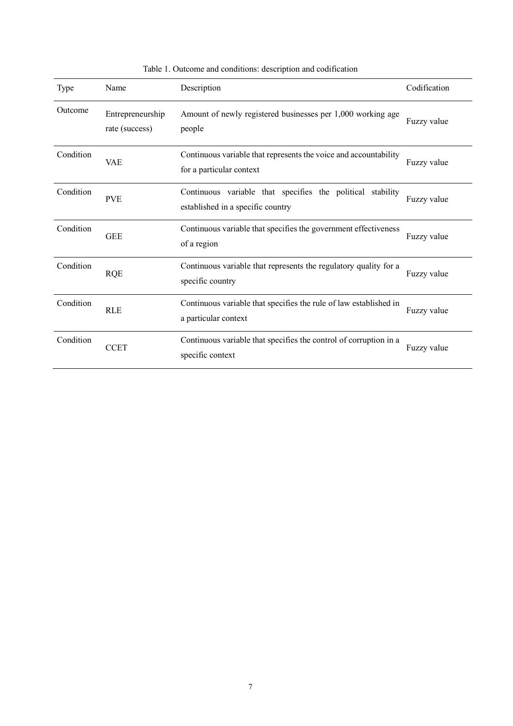| Type      | Name                               | Description                                                                                        | Codification |
|-----------|------------------------------------|----------------------------------------------------------------------------------------------------|--------------|
| Outcome   | Entrepreneurship<br>rate (success) | Amount of newly registered businesses per 1,000 working age<br>people                              | Fuzzy value  |
| Condition | <b>VAE</b>                         | Continuous variable that represents the voice and accountability<br>for a particular context       | Fuzzy value  |
| Condition | <b>PVE</b>                         | Continuous variable that specifies the political<br>stability<br>established in a specific country | Fuzzy value  |
| Condition | <b>GEE</b>                         | Continuous variable that specifies the government effectiveness<br>of a region                     | Fuzzy value  |
| Condition | <b>RQE</b>                         | Continuous variable that represents the regulatory quality for a<br>specific country               | Fuzzy value  |
| Condition | <b>RLE</b>                         | Continuous variable that specifies the rule of law established in<br>a particular context          | Fuzzy value  |
| Condition | <b>CCET</b>                        | Continuous variable that specifies the control of corruption in a<br>specific context              | Fuzzy value  |

Table 1. Outcome and conditions: description and codification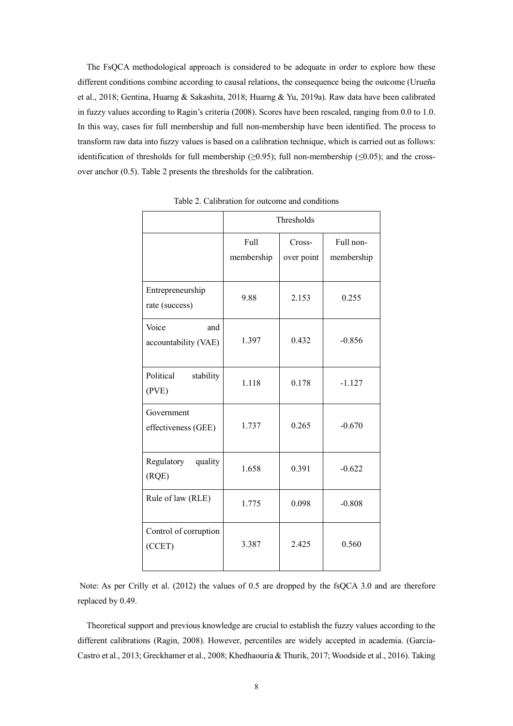The FsQCA methodological approach is considered to be adequate in order to explore how these different conditions combine according to causal relations, the consequence being the outcome (Urueña et al., 2018; Gentina, Huarng & Sakashita, 2018; Huarng & Yu, 2019a). Raw data have been calibrated in fuzzy values according to Ragin's criteria (2008). Scores have been rescaled, ranging from 0.0 to 1.0. In this way, cases for full membership and full non-membership have been identified. The process to transform raw data into fuzzy values is based on a calibration technique, which is carried out as follows: identification of thresholds for full membership ( $\geq$ 0.95); full non-membership ( $\leq$ 0.05); and the crossover anchor (0.5). Table 2 presents the thresholds for the calibration.

|                                      | Thresholds         |                      |                         |
|--------------------------------------|--------------------|----------------------|-------------------------|
|                                      | Full<br>membership | Cross-<br>over point | Full non-<br>membership |
| Entrepreneurship<br>rate (success)   | 9.88               | 2.153                | 0.255                   |
| Voice<br>and<br>accountability (VAE) | 1.397              | 0.432                | $-0.856$                |
| Political<br>stability<br>(PVE)      | 1.118              | 0.178                | $-1.127$                |
| Government<br>effectiveness (GEE)    | 1.737              | 0.265                | $-0.670$                |
| Regulatory quality<br>(RQE)          | 1.658              | 0.391                | $-0.622$                |
| Rule of law (RLE)                    | 1.775              | 0.098                | $-0.808$                |
| Control of corruption<br>(CCET)      | 3.387              | 2.425                | 0.560                   |

Table 2. Calibration for outcome and conditions

Note: As per Crilly et al. (2012) the values of 0.5 are dropped by the fsQCA 3.0 and are therefore replaced by 0.49.

Theoretical support and previous knowledge are crucial to establish the fuzzy values according to the different calibrations (Ragin, 2008). However, percentiles are widely accepted in academia. (García-Castro et al., 2013; Greckhamer et al., 2008; Khedhaouria & Thurik, 2017; Woodside et al., 2016). Taking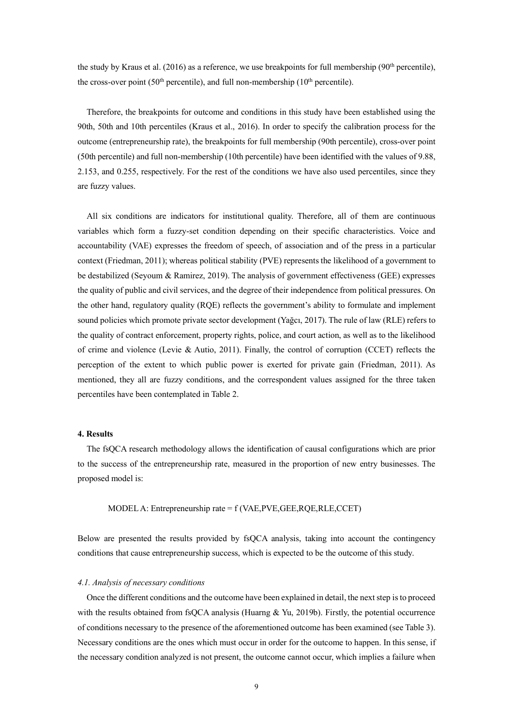the study by Kraus et al. (2016) as a reference, we use breakpoints for full membership (90<sup>th</sup> percentile), the cross-over point (50<sup>th</sup> percentile), and full non-membership (10<sup>th</sup> percentile).

Therefore, the breakpoints for outcome and conditions in this study have been established using the 90th, 50th and 10th percentiles (Kraus et al., 2016). In order to specify the calibration process for the outcome (entrepreneurship rate), the breakpoints for full membership (90th percentile), cross-over point (50th percentile) and full non-membership (10th percentile) have been identified with the values of 9.88, 2.153, and 0.255, respectively. For the rest of the conditions we have also used percentiles, since they are fuzzy values.

All six conditions are indicators for institutional quality. Therefore, all of them are continuous variables which form a fuzzy-set condition depending on their specific characteristics. Voice and accountability (VAE) expresses the freedom of speech, of association and of the press in a particular context (Friedman, 2011); whereas political stability (PVE) represents the likelihood of a government to be destabilized (Seyoum & Ramirez, 2019). The analysis of government effectiveness (GEE) expresses the quality of public and civil services, and the degree of their independence from political pressures. On the other hand, regulatory quality (RQE) reflects the government's ability to formulate and implement sound policies which promote private sector development (Yağcı, 2017). The rule of law (RLE) refers to the quality of contract enforcement, property rights, police, and court action, as well as to the likelihood of crime and violence (Levie & Autio, 2011). Finally, the control of corruption (CCET) reflects the perception of the extent to which public power is exerted for private gain (Friedman, 2011). As mentioned, they all are fuzzy conditions, and the correspondent values assigned for the three taken percentiles have been contemplated in Table 2.

## **4. Results**

The fsQCA research methodology allows the identification of causal configurations which are prior to the success of the entrepreneurship rate, measured in the proportion of new entry businesses. The proposed model is:

MODEL A: Entrepreneurship rate =  $f$  (VAE, PVE, GEE, ROE, RLE, CCET)

Below are presented the results provided by fsQCA analysis, taking into account the contingency conditions that cause entrepreneurship success, which is expected to be the outcome of this study.

#### *4.1. Analysis of necessary conditions*

Once the different conditions and the outcome have been explained in detail, the next step isto proceed with the results obtained from fsQCA analysis (Huarng  $&$  Yu, 2019b). Firstly, the potential occurrence of conditions necessary to the presence of the aforementioned outcome has been examined (see Table 3). Necessary conditions are the ones which must occur in order for the outcome to happen. In this sense, if the necessary condition analyzed is not present, the outcome cannot occur, which implies a failure when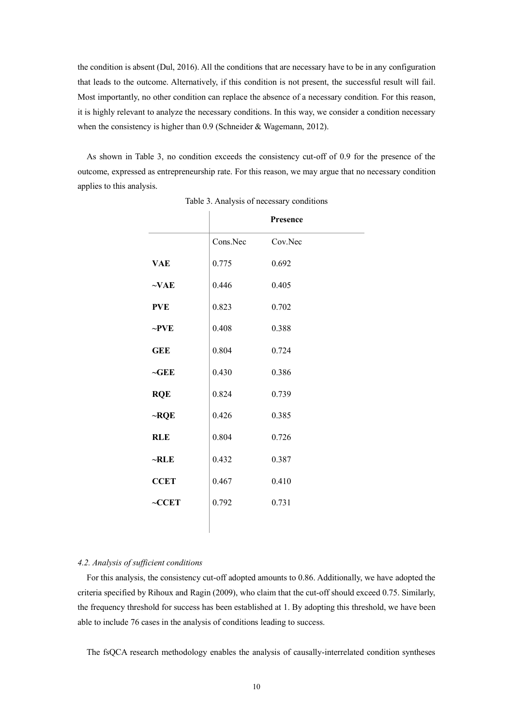the condition is absent (Dul, 2016). All the conditions that are necessary have to be in any configuration that leads to the outcome. Alternatively, if this condition is not present, the successful result will fail. Most importantly, no other condition can replace the absence of a necessary condition. For this reason, it is highly relevant to analyze the necessary conditions. In this way, we consider a condition necessary when the consistency is higher than 0.9 (Schneider & Wagemann, 2012).

As shown in Table 3, no condition exceeds the consistency cut-off of 0.9 for the presence of the outcome, expressed as entrepreneurship rate. For this reason, we may argue that no necessary condition applies to this analysis.

|             |          | Presence |
|-------------|----------|----------|
|             | Cons.Nec | Cov.Nec  |
| <b>VAE</b>  | 0.775    | 0.692    |
| $\sim$ VAE  | 0.446    | 0.405    |
| <b>PVE</b>  | 0.823    | 0.702    |
| $\sim$ PVE  | 0.408    | 0.388    |
| <b>GEE</b>  | 0.804    | 0.724    |
| $\neg$ GEE  | 0.430    | 0.386    |
| <b>RQE</b>  | 0.824    | 0.739    |
| $\neg RQE$  | 0.426    | 0.385    |
| <b>RLE</b>  | 0.804    | 0.726    |
| $\neg$ RLE  | 0.432    | 0.387    |
| <b>CCET</b> | 0.467    | 0.410    |
| $\sim$ CCET | 0.792    | 0.731    |
|             |          |          |

Table 3. Analysis of necessary conditions

# *4.2. Analysis of sufficient conditions*

For this analysis, the consistency cut-off adopted amounts to 0.86. Additionally, we have adopted the criteria specified by Rihoux and Ragin (2009), who claim that the cut-off should exceed 0.75. Similarly, the frequency threshold for success has been established at 1. By adopting this threshold, we have been able to include 76 cases in the analysis of conditions leading to success.

The fsQCA research methodology enables the analysis of causally-interrelated condition syntheses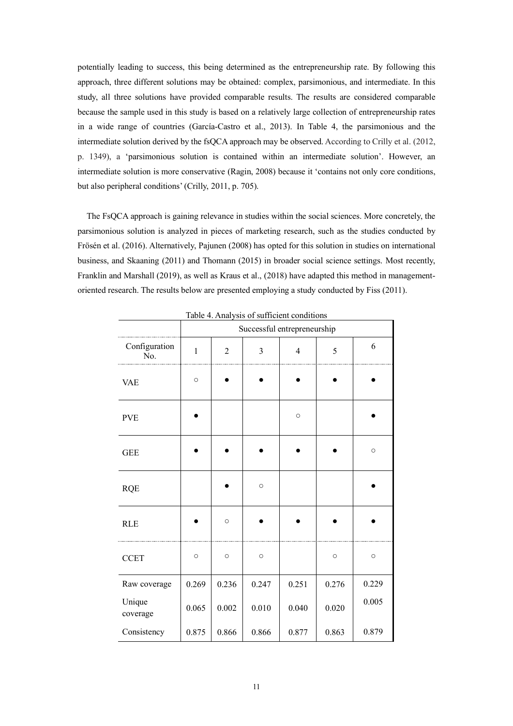potentially leading to success, this being determined as the entrepreneurship rate. By following this approach, three different solutions may be obtained: complex, parsimonious, and intermediate. In this study, all three solutions have provided comparable results. The results are considered comparable because the sample used in this study is based on a relatively large collection of entrepreneurship rates in a wide range of countries (García-Castro et al., 2013). In Table 4, the parsimonious and the intermediate solution derived by the fsQCA approach may be observed. According to Crilly et al. (2012, p. 1349), a 'parsimonious solution is contained within an intermediate solution'. However, an intermediate solution is more conservative (Ragin, 2008) because it 'contains not only core conditions, but also peripheral conditions' (Crilly, 2011, p. 705).

The FsQCA approach is gaining relevance in studies within the social sciences. More concretely, the parsimonious solution is analyzed in pieces of marketing research, such as the studies conducted by Frösén et al. (2016). Alternatively, Pajunen (2008) has opted for this solution in studies on international business, and Skaaning (2011) and Thomann (2015) in broader social science settings. Most recently, Franklin and Marshall (2019), as well as Kraus et al., (2018) have adapted this method in managementoriented research. The results below are presented employing a study conducted by Fiss (2011).

|                      | Successful entrepreneurship |                |         |                |         |         |
|----------------------|-----------------------------|----------------|---------|----------------|---------|---------|
| Configuration<br>No. | $\mathbf{1}$                | $\overline{2}$ | 3       | $\overline{4}$ | 5       | 6       |
| <b>VAE</b>           | $\circ$                     |                |         |                |         |         |
| <b>PVE</b>           |                             |                |         | $\circ$        |         |         |
| <b>GEE</b>           |                             |                |         |                |         | $\circ$ |
| <b>RQE</b>           |                             |                | $\circ$ |                |         |         |
| <b>RLE</b>           |                             | $\circ$        |         |                |         |         |
| <b>CCET</b>          | $\circ$                     | $\circ$        | $\circ$ |                | $\circ$ | $\circ$ |
| Raw coverage         | 0.269                       | 0.236          | 0.247   | 0.251          | 0.276   | 0.229   |
| Unique<br>coverage   | 0.065                       | 0.002          | 0.010   | 0.040          | 0.020   | 0.005   |
| Consistency          | 0.875                       | 0.866          | 0.866   | 0.877          | 0.863   | 0.879   |

Table 4. Analysis of sufficient conditions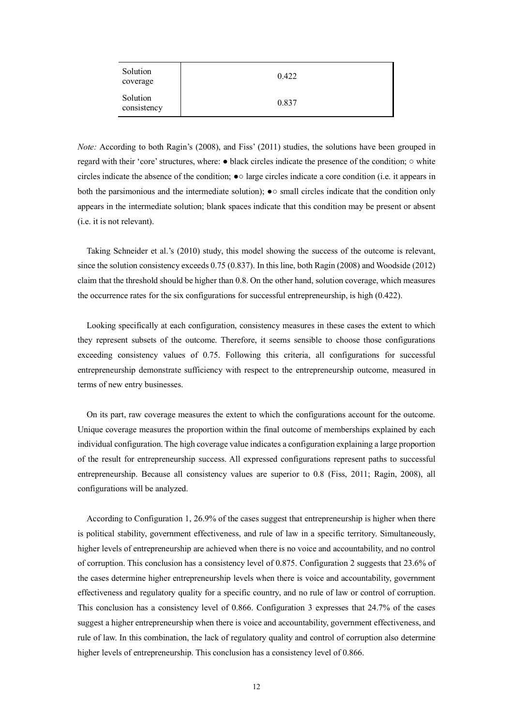| Solution<br>coverage    | 0.422 |
|-------------------------|-------|
| Solution<br>consistency | 0.837 |

*Note:* According to both Ragin's (2008), and Fiss' (2011) studies, the solutions have been grouped in regard with their 'core'structures, where: ● black circles indicate the presence of the condition; ○ white circles indicate the absence of the condition; ●○ large circles indicate a core condition (i.e. it appears in both the parsimonious and the intermediate solution); ●○ small circles indicate that the condition only appears in the intermediate solution; blank spaces indicate that this condition may be present or absent (i.e. it is not relevant).

Taking Schneider et al.'s (2010) study, this model showing the success of the outcome is relevant, since the solution consistency exceeds 0.75 (0.837). In this line, both Ragin (2008) and Woodside (2012) claim that the threshold should be higher than 0.8. On the other hand, solution coverage, which measures the occurrence rates for the six configurations for successful entrepreneurship, is high (0.422).

Looking specifically at each configuration, consistency measures in these cases the extent to which they represent subsets of the outcome. Therefore, it seems sensible to choose those configurations exceeding consistency values of 0.75. Following this criteria, all configurations for successful entrepreneurship demonstrate sufficiency with respect to the entrepreneurship outcome, measured in terms of new entry businesses.

On its part, raw coverage measures the extent to which the configurations account for the outcome. Unique coverage measures the proportion within the final outcome of memberships explained by each individual configuration. The high coverage value indicates a configuration explaining a large proportion of the result for entrepreneurship success. All expressed configurations represent paths to successful entrepreneurship. Because all consistency values are superior to 0.8 (Fiss, 2011; Ragin, 2008), all configurations will be analyzed.

According to Configuration 1, 26.9% of the cases suggest that entrepreneurship is higher when there is political stability, government effectiveness, and rule of law in a specific territory. Simultaneously, higher levels of entrepreneurship are achieved when there is no voice and accountability, and no control of corruption. This conclusion has a consistency level of 0.875. Configuration 2 suggests that 23.6% of the cases determine higher entrepreneurship levels when there is voice and accountability, government effectiveness and regulatory quality for a specific country, and no rule of law or control of corruption. This conclusion has a consistency level of 0.866. Configuration 3 expresses that 24.7% of the cases suggest a higher entrepreneurship when there is voice and accountability, government effectiveness, and rule of law. In this combination, the lack of regulatory quality and control of corruption also determine higher levels of entrepreneurship. This conclusion has a consistency level of 0.866.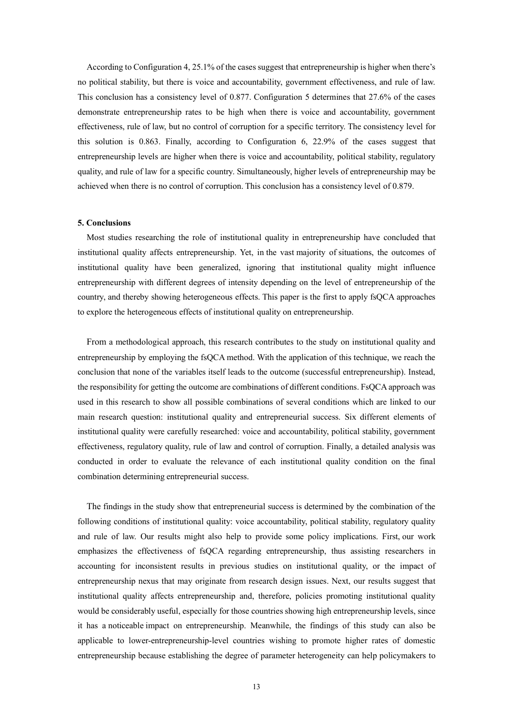According to Configuration 4, 25.1% of the cases suggest that entrepreneurship is higher when there's no political stability, but there is voice and accountability, government effectiveness, and rule of law. This conclusion has a consistency level of 0.877. Configuration 5 determines that 27.6% of the cases demonstrate entrepreneurship rates to be high when there is voice and accountability, government effectiveness, rule of law, but no control of corruption for a specific territory. The consistency level for this solution is 0.863. Finally, according to Configuration 6, 22.9% of the cases suggest that entrepreneurship levels are higher when there is voice and accountability, political stability, regulatory quality, and rule of law for a specific country. Simultaneously, higher levels of entrepreneurship may be achieved when there is no control of corruption. This conclusion has a consistency level of 0.879.

### **5. Conclusions**

Most studies researching the role of institutional quality in entrepreneurship have concluded that institutional quality affects entrepreneurship. Yet, in the vast majority of situations, the outcomes of institutional quality have been generalized, ignoring that institutional quality might influence entrepreneurship with different degrees of intensity depending on the level of entrepreneurship of the country, and thereby showing heterogeneous effects. This paper is the first to apply fsQCA approaches to explore the heterogeneous effects of institutional quality on entrepreneurship.

From a methodological approach, this research contributes to the study on institutional quality and entrepreneurship by employing the fsQCA method. With the application of this technique, we reach the conclusion that none of the variables itself leads to the outcome (successful entrepreneurship). Instead, the responsibility for getting the outcome are combinations of different conditions. FsQCA approach was used in this research to show all possible combinations of several conditions which are linked to our main research question: institutional quality and entrepreneurial success. Six different elements of institutional quality were carefully researched: voice and accountability, political stability, government effectiveness, regulatory quality, rule of law and control of corruption. Finally, a detailed analysis was conducted in order to evaluate the relevance of each institutional quality condition on the final combination determining entrepreneurial success.

The findings in the study show that entrepreneurial success is determined by the combination of the following conditions of institutional quality: voice accountability, political stability, regulatory quality and rule of law. Our results might also help to provide some policy implications. First, our work emphasizes the effectiveness of fsQCA regarding entrepreneurship, thus assisting researchers in accounting for inconsistent results in previous studies on institutional quality, or the impact of entrepreneurship nexus that may originate from research design issues. Next, our results suggest that institutional quality affects entrepreneurship and, therefore, policies promoting institutional quality would be considerably useful, especially for those countries showing high entrepreneurship levels, since it has a noticeable impact on entrepreneurship. Meanwhile, the findings of this study can also be applicable to lower-entrepreneurship-level countries wishing to promote higher rates of domestic entrepreneurship because establishing the degree of parameter heterogeneity can help policymakers to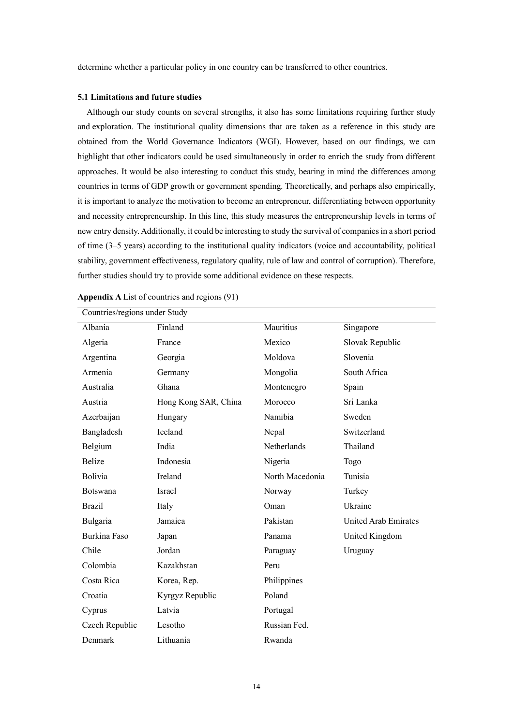determine whether a particular policy in one country can be transferred to other countries.

## **5.1 Limitations and future studies**

Although our study counts on several strengths, it also has some limitations requiring further study and exploration. The institutional quality dimensions that are taken as a reference in this study are obtained from the World Governance Indicators (WGI). However, based on our findings, we can highlight that other indicators could be used simultaneously in order to enrich the study from different approaches. It would be also interesting to conduct this study, bearing in mind the differences among countries in terms of GDP growth or government spending. Theoretically, and perhaps also empirically, it is important to analyze the motivation to become an entrepreneur, differentiating between opportunity and necessity entrepreneurship. In this line, this study measures the entrepreneurship levels in terms of new entry density. Additionally, it could be interesting to study the survival of companiesin a short period of time (3–5 years) according to the institutional quality indicators (voice and accountability, political stability, government effectiveness, regulatory quality, rule of law and control of corruption). Therefore, further studies should try to provide some additional evidence on these respects.

| Countries/regions under Study |                      |                 |                      |  |
|-------------------------------|----------------------|-----------------|----------------------|--|
| Albania                       | Finland              | Mauritius       | Singapore            |  |
| Algeria                       | France               | Mexico          | Slovak Republic      |  |
| Argentina                     | Georgia              | Moldova         | Slovenia             |  |
| Armenia                       | Germany              | Mongolia        | South Africa         |  |
| Australia                     | Ghana                | Montenegro      | Spain                |  |
| Austria                       | Hong Kong SAR, China | Morocco         | Sri Lanka            |  |
| Azerbaijan                    | Hungary              | Namibia         | Sweden               |  |
| Bangladesh                    | Iceland              | Nepal           | Switzerland          |  |
| Belgium                       | India                | Netherlands     | Thailand             |  |
| <b>Belize</b>                 | Indonesia            | Nigeria         | Togo                 |  |
| Bolivia                       | Ireland              | North Macedonia | Tunisia              |  |
| Botswana                      | <b>Israel</b>        | Norway          | Turkey               |  |
| <b>Brazil</b>                 | Italy                | Oman            | Ukraine              |  |
| Bulgaria                      | Jamaica              | Pakistan        | United Arab Emirates |  |
| Burkina Faso                  | Japan                | Panama          | United Kingdom       |  |
| Chile                         | Jordan               | Paraguay        | Uruguay              |  |
| Colombia                      | Kazakhstan           | Peru            |                      |  |
| Costa Rica                    | Korea, Rep.          | Philippines     |                      |  |
| Croatia                       | Kyrgyz Republic      | Poland          |                      |  |
| Cyprus                        | Latvia               | Portugal        |                      |  |
| Czech Republic                | Lesotho              | Russian Fed.    |                      |  |
| Denmark                       | Lithuania            | Rwanda          |                      |  |

**Appendix A** List of countries and regions (91)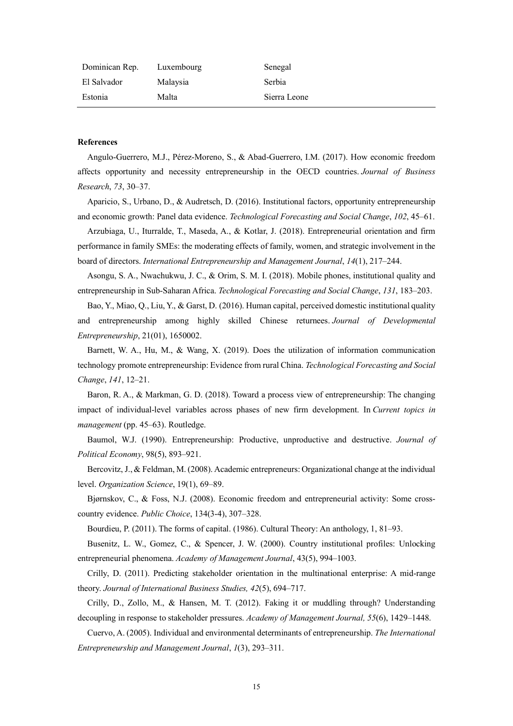| Dominican Rep. Luxembourg |          | Senegal      |
|---------------------------|----------|--------------|
| El Salvador               | Malaysia | Serbia       |
| Estonia                   | Malta    | Sierra Leone |

#### **References**

Angulo-Guerrero, M.J., Pérez-Moreno, S., & Abad-Guerrero, I.M. (2017). How economic freedom affects opportunity and necessity entrepreneurship in the OECD countries. *Journal of Business Research*, *73*, 30–37.

Aparicio, S., Urbano, D., & Audretsch, D. (2016). Institutional factors, opportunity entrepreneurship and economic growth: Panel data evidence. *Technological Forecasting and Social Change*, *102*, 45–61.

Arzubiaga, U., Iturralde, T., Maseda, A., & Kotlar, J. (2018). Entrepreneurial orientation and firm performance in family SMEs: the moderating effects of family, women, and strategic involvement in the board of directors. *International Entrepreneurship and Management Journal*, *14*(1), 217–244.

Asongu, S. A., Nwachukwu, J. C., & Orim, S. M. I. (2018). Mobile phones, institutional quality and entrepreneurship in Sub-Saharan Africa. *Technological Forecasting and Social Change*, *131*, 183–203.

Bao, Y., Miao, Q., Liu, Y., & Garst, D. (2016). Human capital, perceived domestic institutional quality and entrepreneurship among highly skilled Chinese returnees. *Journal of Developmental Entrepreneurship*, 21(01), 1650002.

Barnett, W. A., Hu, M., & Wang, X. (2019). Does the utilization of information communication technology promote entrepreneurship: Evidence from rural China. *Technological Forecasting and Social Change*, *141*, 12–21.

Baron, R. A., & Markman, G. D. (2018). Toward a process view of entrepreneurship: The changing impact of individual-level variables across phases of new firm development. In *Current topics in management* (pp. 45–63). Routledge.

Baumol, W.J. (1990). Entrepreneurship: Productive, unproductive and destructive. *Journal of Political Economy*, 98(5), 893–921.

Bercovitz, J.,& Feldman, M. (2008). Academic entrepreneurs: Organizational change at the individual level. *Organization Science*, 19(1), 69–89.

Bjørnskov, C., & Foss, N.J. (2008). Economic freedom and entrepreneurial activity: Some crosscountry evidence. *Public Choice*, 134(3-4), 307–328.

Bourdieu, P. (2011). The forms of capital. (1986). Cultural Theory: An anthology, 1, 81–93.

Busenitz, L. W., Gomez, C., & Spencer, J. W. (2000). Country institutional profiles: Unlocking entrepreneurial phenomena. *Academy of Management Journal*, 43(5), 994–1003.

Crilly, D. (2011). Predicting stakeholder orientation in the multinational enterprise: A mid-range theory. *Journal of International Business Studies, 42*(5), 694–717.

Crilly, D., Zollo, M., & Hansen, M. T. (2012). Faking it or muddling through? Understanding decoupling in response to stakeholder pressures. *Academy of Management Journal, 55*(6), 1429–1448.

Cuervo, A. (2005). Individual and environmental determinants of entrepreneurship. *The International Entrepreneurship and Management Journal*, *1*(3), 293–311.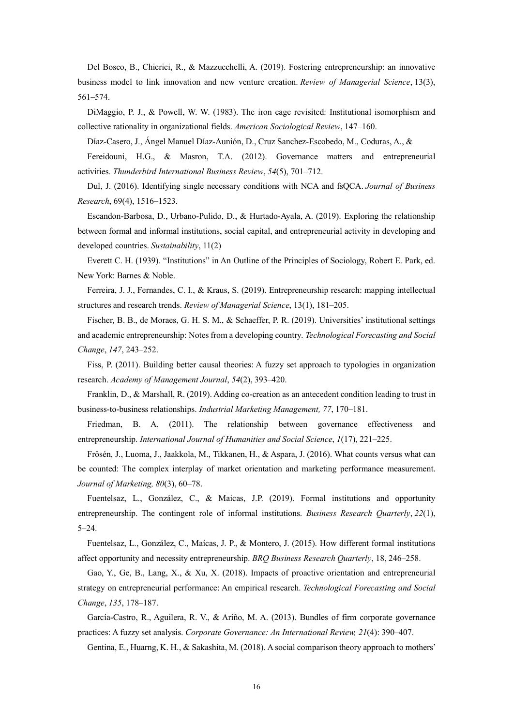Del Bosco, B., Chierici, R., & Mazzucchelli, A. (2019). Fostering entrepreneurship: an innovative business model to link innovation and new venture creation. *Review of Managerial Science*, 13(3), 561–574.

DiMaggio, P. J., & Powell, W. W. (1983). The iron cage revisited: Institutional isomorphism and collective rationality in organizational fields. *American Sociological Review*, 147–160.

Díaz-Casero, J., Ángel Manuel Díaz-Aunión, D., Cruz Sanchez-Escobedo, M., Coduras, A., &

Fereidouni, H.G., & Masron, T.A. (2012). Governance matters and entrepreneurial activities. *Thunderbird International Business Review*, *54*(5), 701–712.

Dul, J. (2016). Identifying single necessary conditions with NCA and fsQCA. *Journal of Business Research*, 69(4), 1516–1523.

Escandon-Barbosa, D., Urbano-Pulido, D., & Hurtado-Ayala, A. (2019). Exploring the relationship between formal and informal institutions, social capital, and entrepreneurial activity in developing and developed countries. *Sustainability*, 11(2)

Everett C. H. (1939). "Institutions" in An Outline of the Principles of Sociology, Robert E. Park, ed. New York: Barnes & Noble.

Ferreira, J. J., Fernandes, C. I., & Kraus, S. (2019). Entrepreneurship research: mapping intellectual structures and research trends. *Review of Managerial Science*, 13(1), 181–205.

Fischer, B. B., de Moraes, G. H. S. M., & Schaeffer, P. R. (2019). Universities' institutional settings and academic entrepreneurship: Notes from a developing country. *Technological Forecasting and Social Change*, *147*, 243–252.

Fiss, P. (2011). Building better causal theories: A fuzzy set approach to typologies in organization research. *Academy of Management Journal*, *54*(2), 393–420.

Franklin, D., & Marshall, R. (2019). Adding co-creation as an antecedent condition leading to trust in business-to-business relationships. *Industrial Marketing Management, 77*, 170–181.

Friedman, B. A. (2011). The relationship between governance effectiveness and entrepreneurship. *International Journal of Humanities and Social Science*, *1*(17), 221–225.

Frösén, J., Luoma, J., Jaakkola, M., Tikkanen, H., & Aspara, J. (2016). What counts versus what can be counted: The complex interplay of market orientation and marketing performance measurement. *Journal of Marketing, 80*(3), 60–78.

Fuentelsaz, L., González, C., & Maicas, J.P. (2019). Formal institutions and opportunity entrepreneurship. The contingent role of informal institutions. *Business Research Quarterly*, *22*(1), 5–24.

Fuentelsaz, L., González, C., Maícas, J. P., & Montero, J. (2015). How different formal institutions affect opportunity and necessity entrepreneurship. *BRQ Business Research Quarterly*, 18, 246–258.

Gao, Y., Ge, B., Lang, X., & Xu, X. (2018). Impacts of proactive orientation and entrepreneurial strategy on entrepreneurial performance: An empirical research. *Technological Forecasting and Social Change*, *135*, 178–187.

García-Castro, R., Aguilera, R. V., & Ariño, M. A. (2013). Bundles of firm corporate governance practices: A fuzzy set analysis. *Corporate Governance: An International Review, 21*(4): 390–407.

Gentina, E., Huarng, K. H., & Sakashita, M. (2018). A social comparison theory approach to mothers'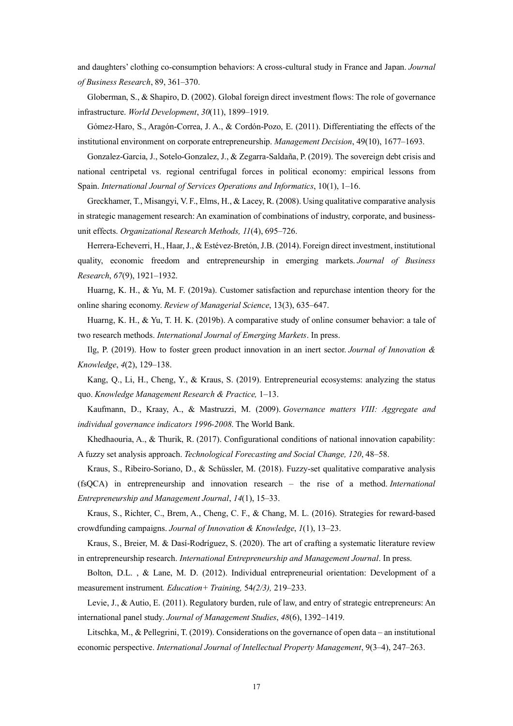and daughters' clothing co-consumption behaviors: A cross-cultural study in France and Japan. *Journal of Business Research*, 89, 361–370.

Globerman, S., & Shapiro, D. (2002). Global foreign direct investment flows: The role of governance infrastructure. *World Development*, *30*(11), 1899–1919.

Gómez-Haro, S., Aragón-Correa, J. A., & Cordón-Pozo, E. (2011). Differentiating the effects of the institutional environment on corporate entrepreneurship. *Management Decision*, 49(10), 1677–1693.

Gonzalez-Garcia, J., Sotelo-Gonzalez, J., & Zegarra-Saldaña, P. (2019). The sovereign debt crisis and national centripetal vs. regional centrifugal forces in political economy: empirical lessons from Spain. *International Journal of Services Operations and Informatics*, 10(1), 1–16.

Greckhamer, T., Misangyi, V. F., Elms, H., & Lacey, R. (2008). Using qualitative comparative analysis in strategic management research: An examination of combinations of industry, corporate, and businessunit effects. *Organizational Research Methods, 11*(4), 695–726.

Herrera-Echeverri, H., Haar, J., & Estévez-Bretón, J.B. (2014). Foreign direct investment, institutional quality, economic freedom and entrepreneurship in emerging markets. *Journal of Business Research*, *67*(9), 1921–1932.

Huarng, K. H., & Yu, M. F. (2019a). Customer satisfaction and repurchase intention theory for the online sharing economy. *Review of Managerial Science*, 13(3), 635–647.

Huarng, K. H., & Yu, T. H. K. (2019b). A comparative study of online consumer behavior: a tale of two research methods. *International Journal of Emerging Markets*. In press.

Ilg, P. (2019). How to foster green product innovation in an inert sector. *Journal of Innovation & Knowledge*, *4*(2), 129–138.

Kang, Q., Li, H., Cheng, Y., & Kraus, S. (2019). Entrepreneurial ecosystems: analyzing the status quo. *Knowledge Management Research & Practice,* 1–13.

Kaufmann, D., Kraay, A., & Mastruzzi, M. (2009). *Governance matters VIII: Aggregate and individual governance indicators 1996-2008*. The World Bank.

Khedhaouria, A., & Thurik, R. (2017). Configurational conditions of national innovation capability: A fuzzy set analysis approach. *Technological Forecasting and Social Change, 120*, 48–58.

Kraus, S., Ribeiro-Soriano, D., & Schüssler, M. (2018). Fuzzy-set qualitative comparative analysis (fsQCA) in entrepreneurship and innovation research – the rise of a method. *International Entrepreneurship and Management Journal*, *14*(1), 15–33.

Kraus, S., Richter, C., Brem, A., Cheng, C. F., & Chang, M. L. (2016). Strategies for reward-based crowdfunding campaigns. *Journal of Innovation & Knowledge*, *1*(1), 13–23.

Kraus, S., Breier, M. & Dasí-Rodríguez, S. (2020). The art of crafting a systematic literature review in entrepreneurship research. *International Entrepreneurship and Management Journal*. In press.

Bolton, D.L. , & Lane, M. D. (2012). Individual entrepreneurial orientation: Development of a measurement instrument*. Education+ Training,* 54*(2/3),* 219–233.

Levie, J., & Autio, E. (2011). Regulatory burden, rule of law, and entry of strategic entrepreneurs: An international panel study. *Journal of Management Studies*, *48*(6), 1392–1419.

Litschka, M., & Pellegrini, T. (2019). Considerations on the governance of open data – an institutional economic perspective. *International Journal of Intellectual Property Management*, 9(3–4), 247–263.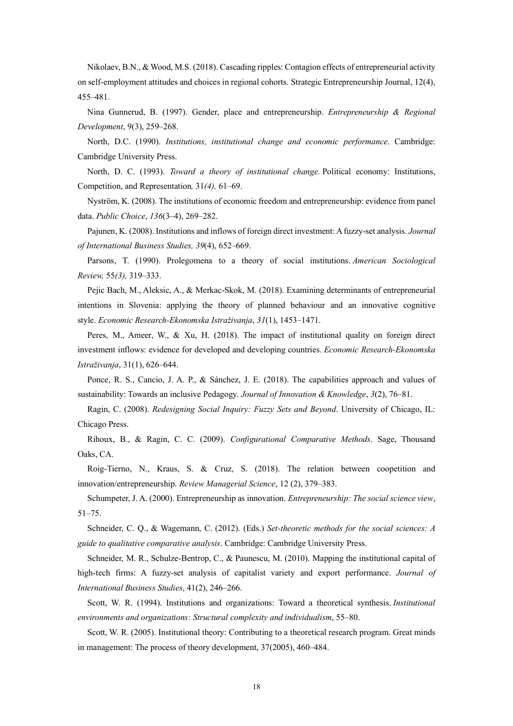Nikolaev, B.N., &Wood, M.S. (2018). Cascading ripples: Contagion effects of entrepreneurial activity on self-employment attitudes and choices in regional cohorts. Strategic Entrepreneurship Journal, 12(4), 455–481.

Nina Gunnerud, B. (1997). Gender, place and entrepreneurship. *Entrepreneurship & Regional Development*, 9(3), 259–268.

North, D.C. (1990). *Institutions, institutional change and economic performance*. Cambridge: Cambridge University Press.

North, D. C. (1993). *Toward a theory of institutional change.* Political economy: Institutions, Competition, and Representation*,* 31*(4),* 61–69.

Nyström, K. (2008). The institutions of economic freedom and entrepreneurship: evidence from panel data. *Public Choice*, *136*(3–4), 269–282.

Pajunen, K. (2008). Institutions and inflows of foreign direct investment: Afuzzy-set analysis. *Journal of International Business Studies, 39*(4), 652–669.

Parsons, T. (1990). Prolegomena to a theory of social institutions. *American Sociological Review,* 55*(3),* 319–333.

Pejic Bach, M., Aleksic, A., & Merkac-Skok, M. (2018). Examining determinants of entrepreneurial intentions in Slovenia: applying the theory of planned behaviour and an innovative cognitive style. *Economic Research-Ekonomska Istraživanja*, *31*(1), 1453–1471.

Peres, M., Ameer, W., & Xu, H. (2018). The impact of institutional quality on foreign direct investment inflows: evidence for developed and developing countries. *Economic Research-Ekonomska Istraživanja*, 31(1), 626–644.

Ponce, R. S., Cancio, J. A. P., & Sánchez, J. E. (2018). The capabilities approach and values of sustainability: Towards an inclusive Pedagogy. *Journal of Innovation & Knowledge*, *3*(2), 76–81.

Ragin, C. (2008). *Redesigning Social Inquiry: Fuzzy Sets and Beyond*. University of Chicago, IL: Chicago Press.

Rihoux, B., & Ragin, C. C. (2009). *Configurational Comparative Methods*. Sage, Thousand Oaks, CA.

Roig‐Tierno, N., Kraus, S. & Cruz, S. (2018). The relation between coopetition and innovation/entrepreneurship. *Review Managerial Science*, 12 (2), 379–383.

Schumpeter, J. A. (2000). Entrepreneurship as innovation. *Entrepreneurship: The social science view*, 51–75.

Schneider, C. Q., & Wagemann, C. (2012). (Eds.) *Set-theoretic methods for the social sciences: A guide to qualitative comparative analysis*. Cambridge: Cambridge University Press.

Schneider, M. R., Schulze-Bentrop, C., & Paunescu, M. (2010). Mapping the institutional capital of high-tech firms: A fuzzy-set analysis of capitalist variety and export performance. *Journal of International Business Studies*, 41(2), 246–266.

Scott, W. R. (1994). Institutions and organizations: Toward a theoretical synthesis. *Institutional environments and organizations: Structural complexity and individualism*, 55–80.

Scott, W. R. (2005). Institutional theory: Contributing to a theoretical research program. Great minds in management: The process of theory development, 37(2005), 460–484.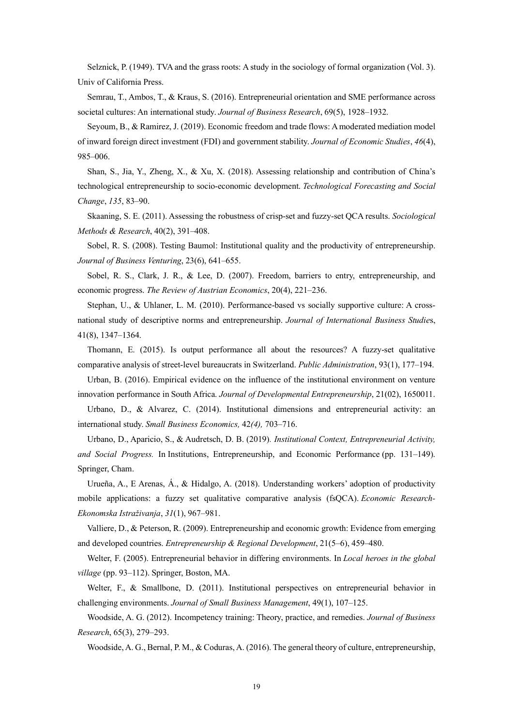Selznick, P. (1949). TVA and the grass roots: A study in the sociology of formal organization (Vol. 3). Univ of California Press.

Semrau, T., Ambos, T., & Kraus, S. (2016). Entrepreneurial orientation and SME performance across societal cultures: An international study. *Journal of Business Research*, 69(5), 1928–1932.

Seyoum, B., & Ramirez, J. (2019). Economic freedom and trade flows: Amoderated mediation model of inward foreign direct investment (FDI) and government stability. *Journal of Economic Studies*, *46*(4), 985–006.

Shan, S., Jia, Y., Zheng, X., & Xu, X. (2018). Assessing relationship and contribution of China's technological entrepreneurship to socio-economic development. *Technological Forecasting and Social Change*, *135*, 83–90.

Skaaning, S. E. (2011). Assessing the robustness of crisp-set and fuzzy-set QCA results. *Sociological Methods & Research*, 40(2), 391–408.

Sobel, R. S. (2008). Testing Baumol: Institutional quality and the productivity of entrepreneurship. *Journal of Business Venturing*, 23(6), 641–655.

Sobel, R. S., Clark, J. R., & Lee, D. (2007). Freedom, barriers to entry, entrepreneurship, and economic progress. *The Review of Austrian Economics*, 20(4), 221–236.

Stephan, U., & Uhlaner, L. M. (2010). Performance-based vs socially supportive culture: A crossnational study of descriptive norms and entrepreneurship. *Journal of International Business Studie*s, 41(8), 1347–1364.

Thomann, E. (2015). Is output performance all about the resources? A fuzzy-set qualitative comparative analysis of street‐level bureaucrats in Switzerland. *Public Administration*, 93(1), 177–194.

Urban, B. (2016). Empirical evidence on the influence of the institutional environment on venture innovation performance in South Africa. *Journal of Developmental Entrepreneurship*, 21(02), 1650011.

Urbano, D., & Alvarez, C. (2014). Institutional dimensions and entrepreneurial activity: an international study. *Small Business Economics,* 42*(4),* 703–716.

Urbano, D., Aparicio, S., & Audretsch, D. B. (2019)*. Institutional Context, Entrepreneurial Activity, and Social Progress.* In Institutions, Entrepreneurship, and Economic Performance (pp. 131–149). Springer, Cham.

Urueña, A., E Arenas, Á., & Hidalgo, A. (2018). Understanding workers' adoption of productivity mobile applications: a fuzzy set qualitative comparative analysis (fsQCA). *Economic Research-Ekonomska Istraživanja*, *31*(1), 967–981.

Valliere, D., & Peterson, R. (2009). Entrepreneurship and economic growth: Evidence from emerging and developed countries. *Entrepreneurship & Regional Development*, 21(5–6), 459–480.

Welter, F. (2005). Entrepreneurial behavior in differing environments. In *Local heroes in the global village* (pp. 93–112). Springer, Boston, MA.

Welter, F., & Smallbone, D. (2011). Institutional perspectives on entrepreneurial behavior in challenging environments. *Journal of Small Business Management*, 49(1), 107–125.

Woodside, A. G. (2012). Incompetency training: Theory, practice, and remedies. *Journal of Business Research*, 65(3), 279–293.

Woodside, A. G., Bernal, P. M., & Coduras, A. (2016). The general theory of culture, entrepreneurship,